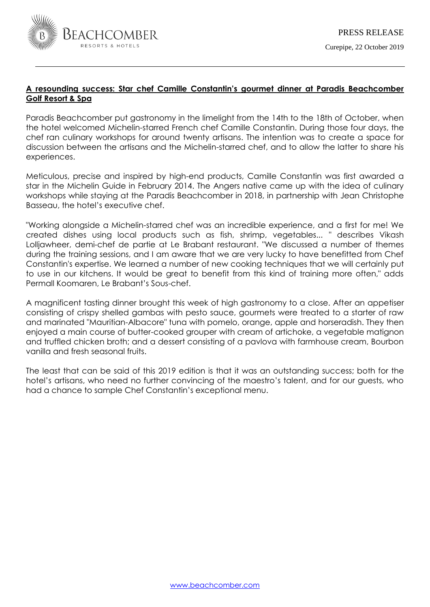

# **A resounding success: Star chef Camille Constantin's gourmet dinner at Paradis Beachcomber Golf Resort & Spa**

Paradis Beachcomber put gastronomy in the limelight from the 14th to the 18th of October, when the hotel welcomed Michelin-starred French chef Camille Constantin. During those four days, the chef ran culinary workshops for around twenty artisans. The intention was to create a space for discussion between the artisans and the Michelin-starred chef, and to allow the latter to share his experiences.

Meticulous, precise and inspired by high-end products, Camille Constantin was first awarded a star in the Michelin Guide in February 2014. The Angers native came up with the idea of culinary workshops while staying at the Paradis Beachcomber in 2018, in partnership with Jean Christophe Basseau, the hotel's executive chef.

"Working alongside a Michelin-starred chef was an incredible experience, and a first for me! We created dishes using local products such as fish, shrimp, vegetables... " describes Vikash Lolljawheer, demi-chef de partie at Le Brabant restaurant. "We discussed a number of themes during the training sessions, and I am aware that we are very lucky to have benefitted from Chef Constantin's expertise. We learned a number of new cooking techniques that we will certainly put to use in our kitchens. It would be great to benefit from this kind of training more often," adds Permall Koomaren, Le Brabant's Sous-chef.

A magnificent tasting dinner brought this week of high gastronomy to a close. After an appetiser consisting of crispy shelled gambas with pesto sauce, gourmets were treated to a starter of raw and marinated "Mauritian-Albacore" tuna with pomelo, orange, apple and horseradish. They then enjoyed a main course of butter-cooked grouper with cream of artichoke, a vegetable matignon and truffled chicken broth; and a dessert consisting of a pavlova with farmhouse cream, Bourbon vanilla and fresh seasonal fruits.

The least that can be said of this 2019 edition is that it was an outstanding success; both for the hotel's artisans, who need no further convincing of the maestro's talent, and for our guests, who had a chance to sample Chef Constantin's exceptional menu.